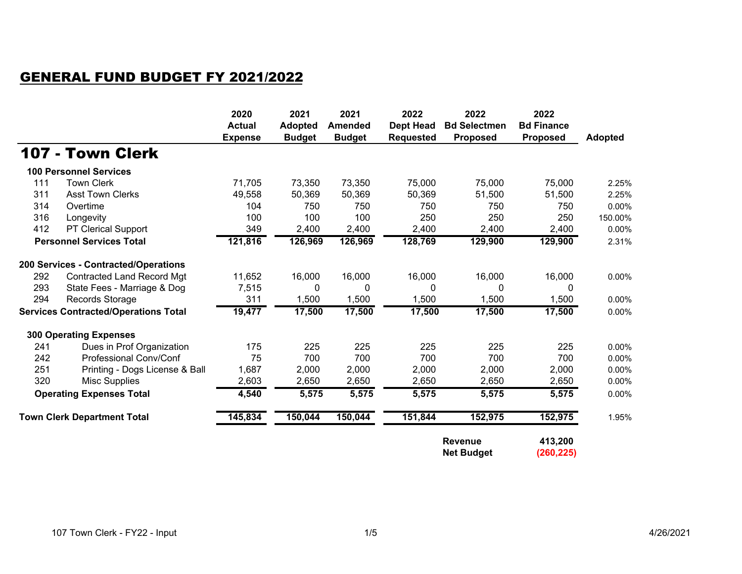## GENERAL FUND BUDGET FY 2021/2022

|                                             |                                      | 2020<br><b>Actual</b><br><b>Expense</b> | 2021<br><b>Adopted</b><br><b>Budget</b> | 2021<br><b>Amended</b><br><b>Budget</b> | 2022<br><b>Dept Head</b><br><b>Requested</b>          | 2022<br><b>Bd Selectmen</b><br><b>Proposed</b> | 2022<br><b>Bd Finance</b><br><b>Proposed</b> | <b>Adopted</b> |
|---------------------------------------------|--------------------------------------|-----------------------------------------|-----------------------------------------|-----------------------------------------|-------------------------------------------------------|------------------------------------------------|----------------------------------------------|----------------|
|                                             | 107 - Town Clerk                     |                                         |                                         |                                         |                                                       |                                                |                                              |                |
|                                             | <b>100 Personnel Services</b>        |                                         |                                         |                                         |                                                       |                                                |                                              |                |
| 111                                         | <b>Town Clerk</b>                    | 71,705                                  | 73,350                                  | 73,350                                  | 75,000                                                | 75,000                                         | 75,000                                       | 2.25%          |
| 311                                         | <b>Asst Town Clerks</b>              | 49,558                                  | 50,369                                  | 50,369                                  | 50,369                                                | 51,500                                         | 51,500                                       | 2.25%          |
| 314                                         | Overtime                             | 104                                     | 750                                     | 750                                     | 750                                                   | 750                                            | 750                                          | 0.00%          |
| 316                                         | Longevity                            | 100                                     | 100                                     | 100                                     | 250                                                   | 250                                            | 250                                          | 150.00%        |
| 412                                         | PT Clerical Support                  | 349                                     | 2,400                                   | 2,400                                   | 2,400                                                 | 2,400                                          | 2,400                                        | 0.00%          |
| <b>Personnel Services Total</b>             |                                      | 121,816                                 | 126,969                                 | 126,969                                 | 128,769                                               | 129,900                                        | 129,900                                      | 2.31%          |
|                                             | 200 Services - Contracted/Operations |                                         |                                         |                                         |                                                       |                                                |                                              |                |
| 292                                         | <b>Contracted Land Record Mgt</b>    | 11,652                                  | 16,000                                  | 16,000                                  | 16,000                                                | 16,000                                         | 16,000                                       | 0.00%          |
| 293                                         | State Fees - Marriage & Dog          | 7,515                                   | 0                                       | $\mathbf{0}$                            | 0                                                     | 0                                              | 0                                            |                |
| 294                                         | Records Storage                      | 311                                     | 1,500                                   | 1,500                                   | 1,500                                                 | 1,500                                          | 1,500                                        | 0.00%          |
| <b>Services Contracted/Operations Total</b> |                                      | 19,477                                  | 17,500                                  | 17,500                                  | 17,500                                                | 17,500                                         | 17,500                                       | 0.00%          |
|                                             | <b>300 Operating Expenses</b>        |                                         |                                         |                                         |                                                       |                                                |                                              |                |
| 241                                         | Dues in Prof Organization            | 175                                     | 225                                     | 225                                     | 225                                                   | 225                                            | 225                                          | 0.00%          |
| 242                                         | <b>Professional Conv/Conf</b>        | 75                                      | 700                                     | 700                                     | 700                                                   | 700                                            | 700                                          | 0.00%          |
| 251                                         | Printing - Dogs License & Ball       | 1,687                                   | 2,000                                   | 2,000                                   | 2,000                                                 | 2,000                                          | 2,000                                        | 0.00%          |
| 320                                         | <b>Misc Supplies</b>                 | 2,603                                   | 2,650                                   | 2,650                                   | 2,650                                                 | 2,650                                          | 2,650                                        | 0.00%          |
| <b>Operating Expenses Total</b>             |                                      | 4,540                                   | 5,575                                   | 5,575                                   | 5,575                                                 | 5,575                                          | 5,575                                        | 0.00%          |
| <b>Town Clerk Department Total</b>          |                                      | 145,834                                 | 150,044                                 | 150,044                                 | 151,844                                               | 152,975                                        | 152,975                                      | 1.95%          |
|                                             |                                      |                                         |                                         |                                         | 413,200<br>Revenue<br><b>Net Budget</b><br>(260, 225) |                                                |                                              |                |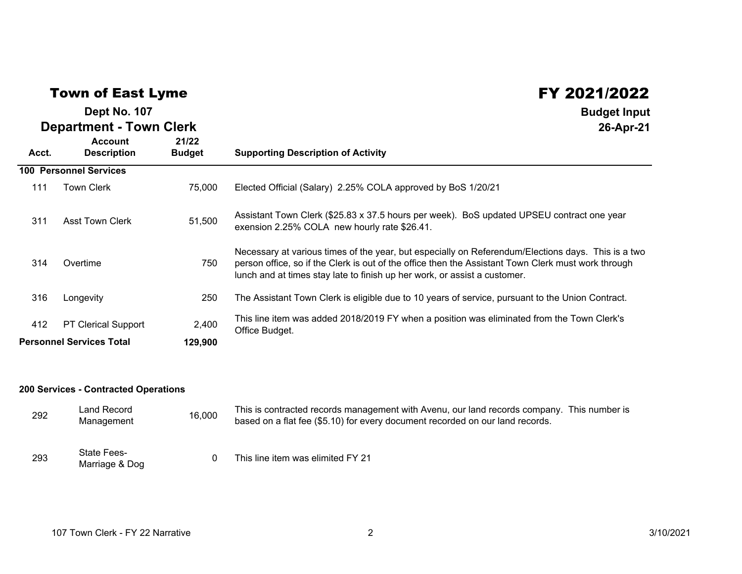## Town of East Lyme

## **Department - Town Clerk Dept No. 107**

| <b>Department - Town Clerk</b>  |                                      |                        | 26-Apr-21                                                                                                                                                                                                                                                                              |
|---------------------------------|--------------------------------------|------------------------|----------------------------------------------------------------------------------------------------------------------------------------------------------------------------------------------------------------------------------------------------------------------------------------|
| Acct.                           | <b>Account</b><br><b>Description</b> | 21/22<br><b>Budget</b> | <b>Supporting Description of Activity</b>                                                                                                                                                                                                                                              |
|                                 | <b>100 Personnel Services</b>        |                        |                                                                                                                                                                                                                                                                                        |
| 111                             | <b>Town Clerk</b>                    | 75,000                 | Elected Official (Salary) 2.25% COLA approved by BoS 1/20/21                                                                                                                                                                                                                           |
| 311                             | <b>Asst Town Clerk</b>               | 51,500                 | Assistant Town Clerk (\$25.83 x 37.5 hours per week). BoS updated UPSEU contract one year<br>exension 2.25% COLA new hourly rate \$26.41.                                                                                                                                              |
| 314                             | Overtime                             | 750                    | Necessary at various times of the year, but especially on Referendum/Elections days. This is a two<br>person office, so if the Clerk is out of the office then the Assistant Town Clerk must work through<br>lunch and at times stay late to finish up her work, or assist a customer. |
| 316                             | Longevity                            | 250                    | The Assistant Town Clerk is eligible due to 10 years of service, pursuant to the Union Contract.                                                                                                                                                                                       |
| 412                             | <b>PT Clerical Support</b>           | 2,400                  | This line item was added 2018/2019 FY when a position was eliminated from the Town Clerk's<br>Office Budget.                                                                                                                                                                           |
| <b>Personnel Services Total</b> |                                      | 129,900                |                                                                                                                                                                                                                                                                                        |

## **200 Services - Contracted Operations**

| 292 | Land Record<br>Management            | 16,000 | This is contracted records management with Avenu, our land records company. This number is<br>based on a flat fee (\$5.10) for every document recorded on our land records. |
|-----|--------------------------------------|--------|-----------------------------------------------------------------------------------------------------------------------------------------------------------------------------|
| 293 | <b>State Fees-</b><br>Marriage & Dog |        | This line item was elimited FY 21                                                                                                                                           |

FY 2021/2022

**Budget Input**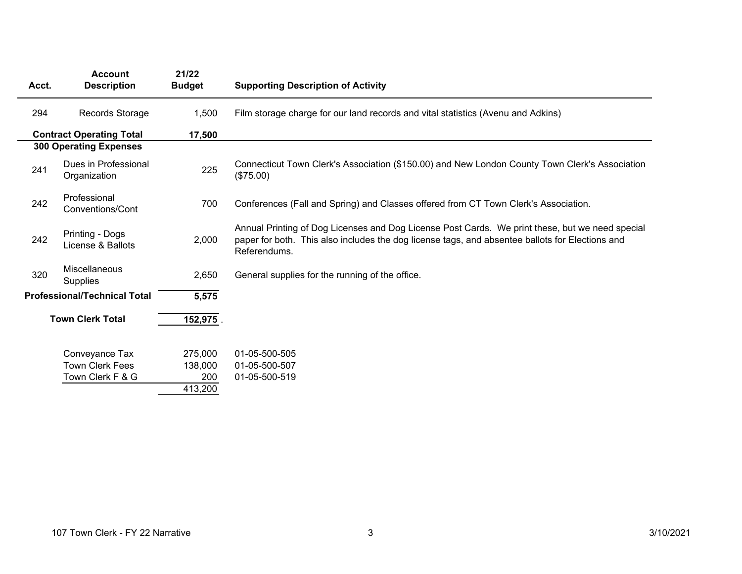| Acct.                   | <b>Account</b><br><b>Description</b>         | 21/22<br><b>Budget</b> | <b>Supporting Description of Activity</b>                                                                                                                                                                          |
|-------------------------|----------------------------------------------|------------------------|--------------------------------------------------------------------------------------------------------------------------------------------------------------------------------------------------------------------|
| 294                     | Records Storage                              | 1,500                  | Film storage charge for our land records and vital statistics (Avenu and Adkins)                                                                                                                                   |
|                         | <b>Contract Operating Total</b><br>17,500    |                        |                                                                                                                                                                                                                    |
|                         | <b>300 Operating Expenses</b>                |                        |                                                                                                                                                                                                                    |
| 241                     | Dues in Professional<br>Organization         | 225                    | Connecticut Town Clerk's Association (\$150.00) and New London County Town Clerk's Association<br>(\$75.00)                                                                                                        |
| 242                     | Professional<br>Conventions/Cont             | 700                    | Conferences (Fall and Spring) and Classes offered from CT Town Clerk's Association.                                                                                                                                |
| 242                     | Printing - Dogs<br>License & Ballots         | 2,000                  | Annual Printing of Dog Licenses and Dog License Post Cards. We print these, but we need special<br>paper for both. This also includes the dog license tags, and absentee ballots for Elections and<br>Referendums. |
| 320                     | Miscellaneous<br><b>Supplies</b>             | 2,650                  | General supplies for the running of the office.                                                                                                                                                                    |
|                         | <b>Professional/Technical Total</b><br>5,575 |                        |                                                                                                                                                                                                                    |
| <b>Town Clerk Total</b> |                                              | 152,975                |                                                                                                                                                                                                                    |
|                         | Conveyance Tax                               | 275,000                | 01-05-500-505                                                                                                                                                                                                      |
|                         | <b>Town Clerk Fees</b>                       | 138,000                | 01-05-500-507                                                                                                                                                                                                      |
|                         | Town Clerk F & G                             | 200                    | 01-05-500-519                                                                                                                                                                                                      |
|                         |                                              | 413,200                |                                                                                                                                                                                                                    |